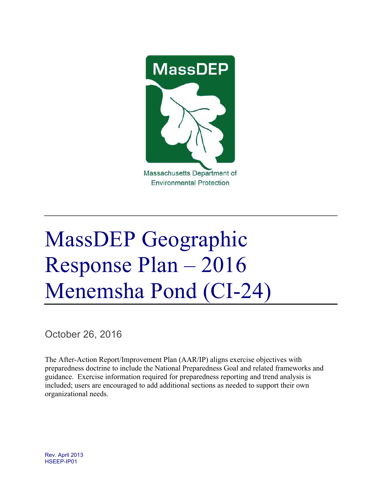

# MassDEP Geographic Response Plan – 2016 Menemsha Pond (CI-24)

October 26, 2016

The After-Action Report/Improvement Plan (AAR/IP) aligns exercise objectives with preparedness doctrine to include the National Preparedness Goal and related frameworks and guidance. Exercise information required for preparedness reporting and trend analysis is included; users are encouraged to add additional sections as needed to support their own organizational needs.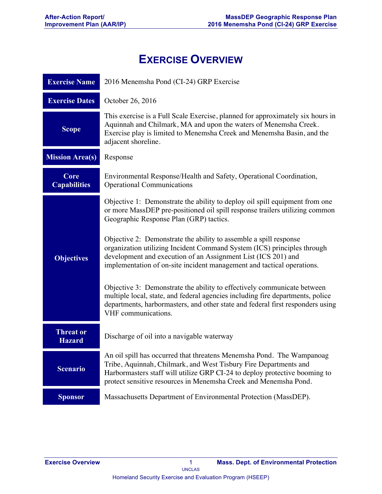# **EXERCISE OVERVIEW**

| <b>Exercise Name</b>              | 2016 Menemsha Pond (CI-24) GRP Exercise                                                                                                                                                                                                                                                     |
|-----------------------------------|---------------------------------------------------------------------------------------------------------------------------------------------------------------------------------------------------------------------------------------------------------------------------------------------|
| <b>Exercise Dates</b>             | October 26, 2016                                                                                                                                                                                                                                                                            |
| <b>Scope</b>                      | This exercise is a Full Scale Exercise, planned for approximately six hours in<br>Aquinnah and Chilmark, MA and upon the waters of Menemsha Creek.<br>Exercise play is limited to Menemsha Creek and Menemsha Basin, and the<br>adjacent shoreline.                                         |
| <b>Mission Area(s)</b>            | Response                                                                                                                                                                                                                                                                                    |
| Core<br><b>Capabilities</b>       | Environmental Response/Health and Safety, Operational Coordination,<br><b>Operational Communications</b>                                                                                                                                                                                    |
|                                   | Objective 1: Demonstrate the ability to deploy oil spill equipment from one<br>or more MassDEP pre-positioned oil spill response trailers utilizing common<br>Geographic Response Plan (GRP) tactics.                                                                                       |
| <b>Objectives</b>                 | Objective 2: Demonstrate the ability to assemble a spill response<br>organization utilizing Incident Command System (ICS) principles through<br>development and execution of an Assignment List (ICS 201) and<br>implementation of on-site incident management and tactical operations.     |
|                                   | Objective 3: Demonstrate the ability to effectively communicate between<br>multiple local, state, and federal agencies including fire departments, police<br>departments, harbormasters, and other state and federal first responders using<br>VHF communications.                          |
| <b>Threat or</b><br><b>Hazard</b> | Discharge of oil into a navigable waterway                                                                                                                                                                                                                                                  |
| <b>Scenario</b>                   | An oil spill has occurred that threatens Menemsha Pond. The Wampanoag<br>Tribe, Aquinnah, Chilmark, and West Tisbury Fire Departments and<br>Harbormasters staff will utilize GRP CI-24 to deploy protective booming to<br>protect sensitive resources in Menemsha Creek and Menemsha Pond. |
| <b>Sponsor</b>                    | Massachusetts Department of Environmental Protection (MassDEP).                                                                                                                                                                                                                             |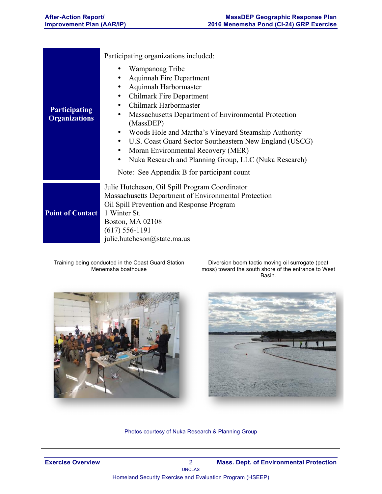|                                              | Participating organizations included:                                                                                                                                                                                                                                                                                                                                                                                                                                                                                                                  |
|----------------------------------------------|--------------------------------------------------------------------------------------------------------------------------------------------------------------------------------------------------------------------------------------------------------------------------------------------------------------------------------------------------------------------------------------------------------------------------------------------------------------------------------------------------------------------------------------------------------|
| <b>Participating</b><br><b>Organizations</b> | Wampanoag Tribe<br>٠<br><b>Aquinnah Fire Department</b><br>٠<br>Aquinnah Harbormaster<br>٠<br><b>Chilmark Fire Department</b><br>$\bullet$<br>Chilmark Harbormaster<br>٠<br>Massachusetts Department of Environmental Protection<br>٠<br>(MassDEP)<br>Woods Hole and Martha's Vineyard Steamship Authority<br>٠<br>U.S. Coast Guard Sector Southeastern New England (USCG)<br>$\bullet$<br>Moran Environmental Recovery (MER)<br>٠<br>Nuka Research and Planning Group, LLC (Nuka Research)<br>$\bullet$<br>Note: See Appendix B for participant count |
| <b>Point of Contact</b>                      | Julie Hutcheson, Oil Spill Program Coordinator<br>Massachusetts Department of Environmental Protection<br>Oil Spill Prevention and Response Program<br>1 Winter St.<br><b>Boston, MA 02108</b><br>$(617) 556 - 1191$<br>julie.hutcheson@state.ma.us                                                                                                                                                                                                                                                                                                    |

Training being conducted in the Coast Guard Station Menemsha boathouse

Diversion boom tactic moving oil surrogate (peat moss) toward the south shore of the entrance to West Basin.





Photos courtesy of Nuka Research & Planning Group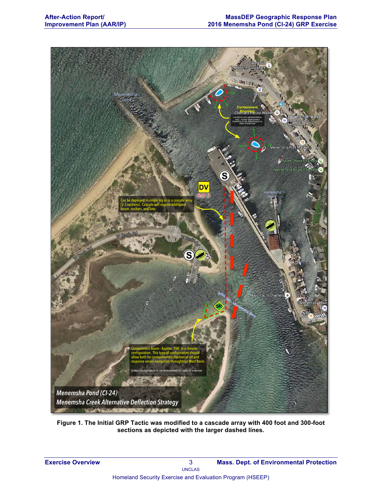

**Figure 1. The Initial GRP Tactic was modified to a cascade array with 400 foot and 300-foot sections as depicted with the larger dashed lines.**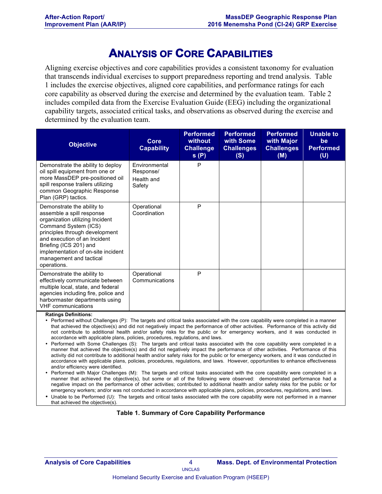## **ANALYSIS OF CORE CAPABILITIES**

Aligning exercise objectives and core capabilities provides a consistent taxonomy for evaluation that transcends individual exercises to support preparedness reporting and trend analysis. Table 1 includes the exercise objectives, aligned core capabilities, and performance ratings for each core capability as observed during the exercise and determined by the evaluation team. Table 2 includes compiled data from the Exercise Evaluation Guide (EEG) including the organizational capability targets, associated critical tasks, and observations as observed during the exercise and determined by the evaluation team.

| <b>Objective</b>                                                                                                                                                                                                                                                                               | Core<br><b>Capability</b>                          | <b>Performed</b><br>without<br><b>Challenge</b><br>s(P) | <b>Performed</b><br>with Some<br><b>Challenges</b><br>(S) | <b>Performed</b><br>with Major<br><b>Challenges</b><br>(M) | <b>Unable to</b><br>be<br><b>Performed</b><br>(U) |
|------------------------------------------------------------------------------------------------------------------------------------------------------------------------------------------------------------------------------------------------------------------------------------------------|----------------------------------------------------|---------------------------------------------------------|-----------------------------------------------------------|------------------------------------------------------------|---------------------------------------------------|
| Demonstrate the ability to deploy<br>oil spill equipment from one or<br>more MassDEP pre-positioned oil<br>spill response trailers utilizing<br>common Geographic Response<br>Plan (GRP) tactics.                                                                                              | Environmental<br>Response/<br>Health and<br>Safety | P                                                       |                                                           |                                                            |                                                   |
| Demonstrate the ability to<br>assemble a spill response<br>organization utilizing Incident<br>Command System (ICS)<br>principles through development<br>and execution of an Incident<br>Briefing (ICS 201) and<br>implementation of on-site incident<br>management and tactical<br>operations. | Operational<br>Coordination                        | P                                                       |                                                           |                                                            |                                                   |
| Demonstrate the ability to<br>effectively communicate between<br>multiple local, state, and federal<br>agencies including fire, police and<br>harbormaster departments using<br><b>VHF</b> communications                                                                                      | Operational<br>Communications                      | P                                                       |                                                           |                                                            |                                                   |

**Ratings Definitions:**

• Performed without Challenges (P): The targets and critical tasks associated with the core capability were completed in a manner that achieved the objective(s) and did not negatively impact the performance of other activities. Performance of this activity did not contribute to additional health and/or safety risks for the public or for emergency workers, and it was conducted in accordance with applicable plans, policies, procedures, regulations, and laws.

• Performed with Some Challenges (S): The targets and critical tasks associated with the core capability were completed in a manner that achieved the objective(s) and did not negatively impact the performance of other activities. Performance of this activity did not contribute to additional health and/or safety risks for the public or for emergency workers, and it was conducted in accordance with applicable plans, policies, procedures, regulations, and laws. However, opportunities to enhance effectiveness and/or efficiency were identified.

• Performed with Major Challenges (M): The targets and critical tasks associated with the core capability were completed in a manner that achieved the objective(s), but some or all of the following were observed: demonstrated performance had a negative impact on the performance of other activities; contributed to additional health and/or safety risks for the public or for emergency workers; and/or was not conducted in accordance with applicable plans, policies, procedures, regulations, and laws.

• Unable to be Performed (U): The targets and critical tasks associated with the core capability were not performed in a manner that achieved the objective(s).

#### **Table 1. Summary of Core Capability Performance**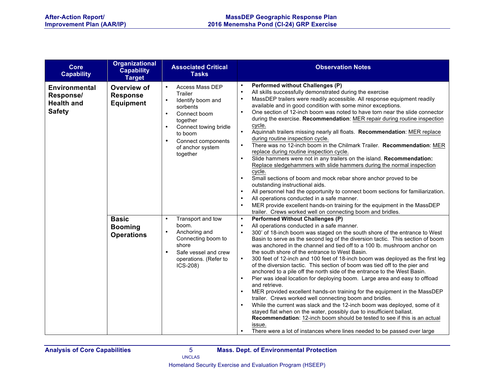| Core<br><b>Capability</b>                                               | <b>Organizational</b><br><b>Capability</b><br><b>Target</b> | <b>Associated Critical</b><br><b>Tasks</b>                                                                                                                                                                                                         | <b>Observation Notes</b>                                                                                                                                                                                                                                                                                                                                                                                                                                                                                                                                                                                                                                                                                                                                                                                                                                                                                                                                                                                                                                                                                                                                                                                                                                                                                                                               |
|-------------------------------------------------------------------------|-------------------------------------------------------------|----------------------------------------------------------------------------------------------------------------------------------------------------------------------------------------------------------------------------------------------------|--------------------------------------------------------------------------------------------------------------------------------------------------------------------------------------------------------------------------------------------------------------------------------------------------------------------------------------------------------------------------------------------------------------------------------------------------------------------------------------------------------------------------------------------------------------------------------------------------------------------------------------------------------------------------------------------------------------------------------------------------------------------------------------------------------------------------------------------------------------------------------------------------------------------------------------------------------------------------------------------------------------------------------------------------------------------------------------------------------------------------------------------------------------------------------------------------------------------------------------------------------------------------------------------------------------------------------------------------------|
| <b>Environmental</b><br>Response/<br><b>Health and</b><br><b>Safety</b> | Overview of<br><b>Response</b><br><b>Equipment</b>          | Access Mass DEP<br>$\bullet$<br>Trailer<br>Identify boom and<br>$\bullet$<br>sorbents<br>Connect boom<br>$\bullet$<br>together<br>Connect towing bridle<br>$\bullet$<br>to boom<br>Connect components<br>$\bullet$<br>of anchor system<br>together | <b>Performed without Challenges (P)</b><br>$\bullet$<br>All skills successfully demonstrated during the exercise<br>$\bullet$<br>MassDEP trailers were readily accessible. All response equipment readily<br>$\bullet$<br>available and in good condition with some minor exceptions.<br>One section of 12-inch boom was noted to have torn near the slide connector<br>$\bullet$<br>during the exercise. Recommendation: MER repair during routine inspection<br>cycle.<br>$\bullet$<br>Aquinnah trailers missing nearly all floats. Recommendation: MER replace<br>during routine inspection cycle.<br>There was no 12-inch boom in the Chilmark Trailer. Recommendation: MER<br>$\bullet$<br>replace during routine inspection cycle.<br>Slide hammers were not in any trailers on the island. Recommendation:<br>$\bullet$<br>Replace sledgehammers with slide hammers during the normal inspection<br>cycle.<br>Small sections of boom and mock rebar shore anchor proved to be<br>$\bullet$<br>outstanding instructional aids.<br>All personnel had the opportunity to connect boom sections for familiarization.<br>$\bullet$<br>All operations conducted in a safe manner.<br>$\bullet$<br>MER provide excellent hands-on training for the equipment in the MassDEP<br>$\bullet$<br>trailer. Crews worked well on connecting boom and bridles. |
|                                                                         | <b>Basic</b><br><b>Booming</b><br><b>Operations</b>         | Transport and tow<br>$\bullet$<br>boom.<br>Anchoring and<br>$\bullet$<br>Connecting boom to<br>shore<br>Safe vessel and crew<br>$\bullet$<br>operations. (Refer to<br>ICS-208)                                                                     | <b>Performed Without Challenges (P)</b><br>$\bullet$<br>All operations conducted in a safe manner.<br>$\bullet$<br>300' of 18-inch boom was staged on the south shore of the entrance to West<br>$\bullet$<br>Basin to serve as the second leg of the diversion tactic. This section of boom<br>was anchored in the channel and tied off to a 100 lb. mushroom anchor on<br>the south shore of the entrance to West Basin.<br>300 feet of 12-inch and 100 feet of 18-inch boom was deployed as the first leg<br>$\bullet$<br>of the diversion tactic. This section of boom was tied off to the pier and<br>anchored to a pile off the north side of the entrance to the West Basin.<br>Pier was ideal location for deploying boom. Large area and easy to offload<br>$\bullet$<br>and retrieve.<br>MER provided excellent hands-on training for the equipment in the MassDEP<br>$\bullet$<br>trailer. Crews worked well connecting boom and bridles.<br>While the current was slack and the 12-inch boom was deployed, some of it<br>$\bullet$<br>stayed flat when on the water, possibly due to insufficient ballast.<br>Recommendation: 12-inch boom should be tested to see if this is an actual<br>issue.<br>There were a lot of instances where lines needed to be passed over large<br>$\bullet$                                                 |

**Analysis of Core Capabilities** 5 **Mass. Dept. of Environmental Protection**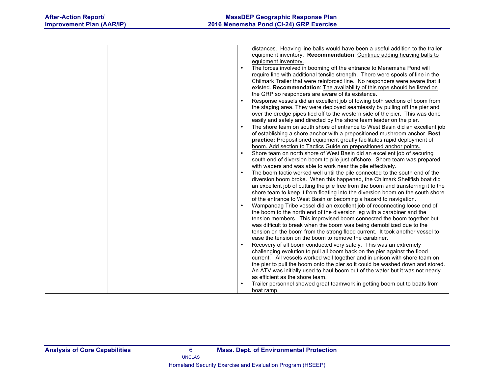| distances. Heaving line balls would have been a useful addition to the trailer            |
|-------------------------------------------------------------------------------------------|
| equipment inventory. Recommendation: Continue adding heaving balls to                     |
| equipment inventory.                                                                      |
| The forces involved in booming off the entrance to Menemsha Pond will<br>$\bullet$        |
| require line with additional tensile strength. There were spools of line in the           |
| Chilmark Trailer that were reinforced line. No responders were aware that it              |
| existed. Recommendation: The availability of this rope should be listed on                |
| the GRP so responders are aware of its existence.                                         |
| Response vessels did an excellent job of towing both sections of boom from                |
| the staging area. They were deployed seamlessly by pulling off the pier and               |
| over the dredge pipes tied off to the western side of the pier. This was done             |
| easily and safely and directed by the shore team leader on the pier.                      |
|                                                                                           |
| The shore team on south shore of entrance to West Basin did an excellent job              |
| of establishing a shore anchor with a prepositioned mushroom anchor. Best                 |
| practice: Prepositioned equipment greatly facilitates rapid deployment of                 |
| boom. Add section to Tactics Guide on prepositioned anchor points.                        |
| Shore team on north shore of West Basin did an excellent job of securing                  |
| south end of diversion boom to pile just offshore. Shore team was prepared                |
| with waders and was able to work near the pile effectively.                               |
| The boom tactic worked well until the pile connected to the south end of the<br>$\bullet$ |
| diversion boom broke. When this happened, the Chilmark Shellfish boat did                 |
| an excellent job of cutting the pile free from the boom and transferring it to the        |
| shore team to keep it from floating into the diversion boom on the south shore            |
| of the entrance to West Basin or becoming a hazard to navigation.                         |
| Wampanoag Tribe vessel did an excellent job of reconnecting loose end of<br>$\bullet$     |
| the boom to the north end of the diversion leg with a carabiner and the                   |
| tension members. This improvised boom connected the boom together but                     |
| was difficult to break when the boom was being demobilized due to the                     |
| tension on the boom from the strong flood current. It took another vessel to              |
| ease the tension on the boom to remove the carabiner.                                     |
| Recovery of all boom conducted very safely. This was an extremely                         |
| challenging evolution to pull all boom back on the pier against the flood                 |
| current. All vessels worked well together and in unison with shore team on                |
| the pier to pull the boom onto the pier so it could be washed down and stored.            |
| An ATV was initially used to haul boom out of the water but it was not nearly             |
| as efficient as the shore team.                                                           |
| Trailer personnel showed great teamwork in getting boom out to boats from                 |
| boat ramp.                                                                                |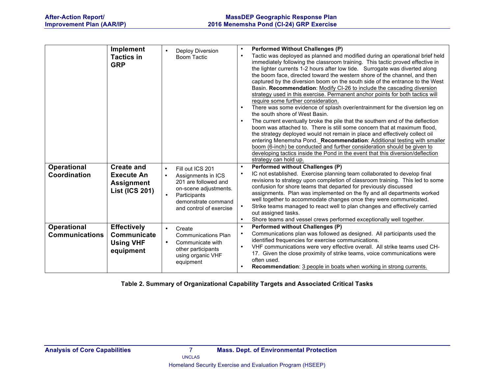|                                             | Implement<br><b>Tactics in</b><br><b>GRP</b>                                         | Deploy Diversion<br>$\bullet$<br><b>Boom Tactic</b>                                                                                                                                              | <b>Performed Without Challenges (P)</b><br>$\bullet$<br>Tactic was deployed as planned and modified during an operational brief held<br>$\bullet$<br>immediately following the classroom training. This tactic proved effective in<br>the lighter currents 1-2 hours after low tide. Surrogate was diverted along<br>the boom face, directed toward the western shore of the channel, and then<br>captured by the diversion boom on the south side of the entrance to the West<br>Basin. Recommendation: Modify CI-26 to include the cascading diversion<br>strategy used in this exercise. Permanent anchor points for both tactics will<br>require some further consideration.<br>There was some evidence of splash over/entrainment for the diversion leg on<br>the south shore of West Basin.<br>The current eventually broke the pile that the southern end of the deflection<br>$\bullet$<br>boom was attached to. There is still some concern that at maximum flood,<br>the strategy deployed would not remain in place and effectively collect oil<br>entering Menemsha Pond. Recommendation: Additional testing with smaller<br>boom (6-inch) be conducted and further consideration should be given to<br>developing tactics inside the Pond in the event that this diversion/deflection<br>strategy can hold up. |
|---------------------------------------------|--------------------------------------------------------------------------------------|--------------------------------------------------------------------------------------------------------------------------------------------------------------------------------------------------|-----------------------------------------------------------------------------------------------------------------------------------------------------------------------------------------------------------------------------------------------------------------------------------------------------------------------------------------------------------------------------------------------------------------------------------------------------------------------------------------------------------------------------------------------------------------------------------------------------------------------------------------------------------------------------------------------------------------------------------------------------------------------------------------------------------------------------------------------------------------------------------------------------------------------------------------------------------------------------------------------------------------------------------------------------------------------------------------------------------------------------------------------------------------------------------------------------------------------------------------------------------------------------------------------------------------------------|
| <b>Operational</b><br>Coordination          | <b>Create and</b><br><b>Execute An</b><br><b>Assignment</b><br><b>List (ICS 201)</b> | $\bullet$<br>Fill out ICS 201<br>Assignments in ICS<br>$\bullet$<br>201 are followed and<br>on-scene adjustments.<br>Participants<br>$\bullet$<br>demonstrate command<br>and control of exercise | <b>Performed without Challenges (P)</b><br>$\bullet$<br>IC not established. Exercise planning team collaborated to develop final<br>$\bullet$<br>revisions to strategy upon completion of classroom training. This led to some<br>confusion for shore teams that departed for previously discussed<br>assignments. Plan was implemented on the fly and all departments worked<br>well together to accommodate changes once they were communicated.<br>Strike teams managed to react well to plan changes and effectively carried<br>$\bullet$<br>out assigned tasks.<br>Shore teams and vessel crews performed exceptionally well together.<br>$\bullet$                                                                                                                                                                                                                                                                                                                                                                                                                                                                                                                                                                                                                                                                    |
| <b>Operational</b><br><b>Communications</b> | <b>Effectively</b><br>Communicate<br><b>Using VHF</b><br>equipment                   | $\bullet$<br>Create<br><b>Communications Plan</b><br>Communicate with<br>$\bullet$<br>other participants<br>using organic VHF<br>equipment                                                       | <b>Performed without Challenges (P)</b><br>$\bullet$<br>Communications plan was followed as designed. All participants used the<br>$\bullet$<br>identified frequencies for exercise communications.<br>VHF communications were very effective overall. All strike teams used CH-<br>$\bullet$<br>17. Given the close proximity of strike teams, voice communications were<br>often used.<br>Recommendation: 3 people in boats when working in strong currents.<br>$\bullet$                                                                                                                                                                                                                                                                                                                                                                                                                                                                                                                                                                                                                                                                                                                                                                                                                                                 |

**Table 2. Summary of Organizational Capability Targets and Associated Critical Tasks**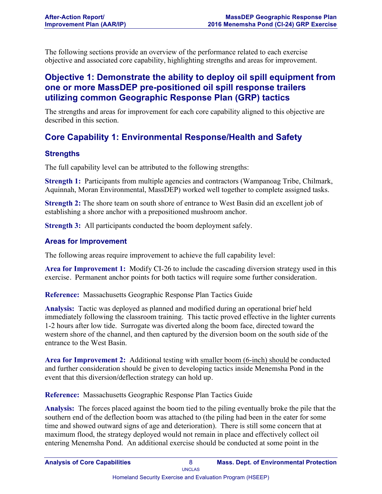The following sections provide an overview of the performance related to each exercise objective and associated core capability, highlighting strengths and areas for improvement.

## **Objective 1: Demonstrate the ability to deploy oil spill equipment from one or more MassDEP pre-positioned oil spill response trailers utilizing common Geographic Response Plan (GRP) tactics**

The strengths and areas for improvement for each core capability aligned to this objective are described in this section.

## **Core Capability 1: Environmental Response/Health and Safety**

## **Strengths**

The full capability level can be attributed to the following strengths:

**Strength 1:** Participants from multiple agencies and contractors (Wampanoag Tribe, Chilmark, Aquinnah, Moran Environmental, MassDEP) worked well together to complete assigned tasks.

**Strength 2:** The shore team on south shore of entrance to West Basin did an excellent job of establishing a shore anchor with a prepositioned mushroom anchor.

**Strength 3:** All participants conducted the boom deployment safely.

## **Areas for Improvement**

The following areas require improvement to achieve the full capability level:

**Area for Improvement 1:** Modify CI-26 to include the cascading diversion strategy used in this exercise. Permanent anchor points for both tactics will require some further consideration.

**Reference:** Massachusetts Geographic Response Plan Tactics Guide

**Analysis:** Tactic was deployed as planned and modified during an operational brief held immediately following the classroom training. This tactic proved effective in the lighter currents 1-2 hours after low tide. Surrogate was diverted along the boom face, directed toward the western shore of the channel, and then captured by the diversion boom on the south side of the entrance to the West Basin.

**Area for Improvement 2:** Additional testing with smaller boom (6-inch) should be conducted and further consideration should be given to developing tactics inside Menemsha Pond in the event that this diversion/deflection strategy can hold up.

**Reference:** Massachusetts Geographic Response Plan Tactics Guide

**Analysis:** The forces placed against the boom tied to the piling eventually broke the pile that the southern end of the deflection boom was attached to (the piling had been in the eater for some time and showed outward signs of age and deterioration). There is still some concern that at maximum flood, the strategy deployed would not remain in place and effectively collect oil entering Menemsha Pond. An additional exercise should be conducted at some point in the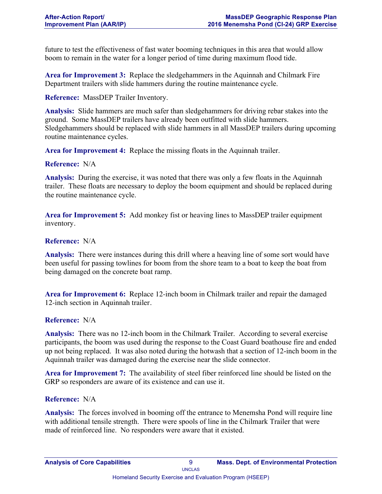future to test the effectiveness of fast water booming techniques in this area that would allow boom to remain in the water for a longer period of time during maximum flood tide.

**Area for Improvement 3:** Replace the sledgehammers in the Aquinnah and Chilmark Fire Department trailers with slide hammers during the routine maintenance cycle.

**Reference:** MassDEP Trailer Inventory.

**Analysis:** Slide hammers are much safer than sledgehammers for driving rebar stakes into the ground. Some MassDEP trailers have already been outfitted with slide hammers. Sledgehammers should be replaced with slide hammers in all MassDEP trailers during upcoming routine maintenance cycles.

**Area for Improvement 4:** Replace the missing floats in the Aquinnah trailer.

#### **Reference:** N/A

**Analysis:** During the exercise, it was noted that there was only a few floats in the Aquinnah trailer. These floats are necessary to deploy the boom equipment and should be replaced during the routine maintenance cycle.

**Area for Improvement 5:** Add monkey fist or heaving lines to MassDEP trailer equipment inventory.

#### **Reference:** N/A

**Analysis:** There were instances during this drill where a heaving line of some sort would have been useful for passing towlines for boom from the shore team to a boat to keep the boat from being damaged on the concrete boat ramp.

**Area for Improvement 6:** Replace 12-inch boom in Chilmark trailer and repair the damaged 12-inch section in Aquinnah trailer.

#### **Reference:** N/A

**Analysis:** There was no 12-inch boom in the Chilmark Trailer. According to several exercise participants, the boom was used during the response to the Coast Guard boathouse fire and ended up not being replaced. It was also noted during the hotwash that a section of 12-inch boom in the Aquinnah trailer was damaged during the exercise near the slide connector.

**Area for Improvement 7:** The availability of steel fiber reinforced line should be listed on the GRP so responders are aware of its existence and can use it.

#### **Reference:** N/A

**Analysis:** The forces involved in booming off the entrance to Menemsha Pond will require line with additional tensile strength. There were spools of line in the Chilmark Trailer that were made of reinforced line. No responders were aware that it existed.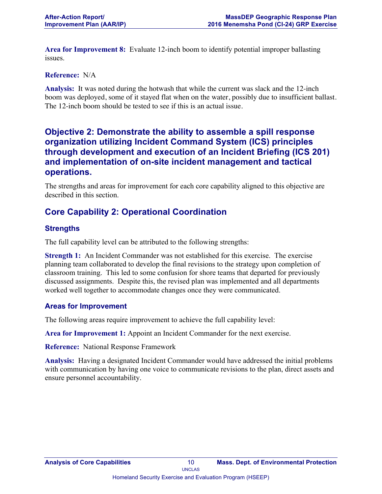**Area for Improvement 8:** Evaluate 12-inch boom to identify potential improper ballasting issues.

#### **Reference:** N/A

**Analysis:** It was noted during the hotwash that while the current was slack and the 12-inch boom was deployed, some of it stayed flat when on the water, possibly due to insufficient ballast. The 12-inch boom should be tested to see if this is an actual issue.

## **Objective 2: Demonstrate the ability to assemble a spill response organization utilizing Incident Command System (ICS) principles through development and execution of an Incident Briefing (ICS 201) and implementation of on-site incident management and tactical operations.**

The strengths and areas for improvement for each core capability aligned to this objective are described in this section.

## **Core Capability 2: Operational Coordination**

#### **Strengths**

The full capability level can be attributed to the following strengths:

**Strength 1:** An Incident Commander was not established for this exercise. The exercise planning team collaborated to develop the final revisions to the strategy upon completion of classroom training. This led to some confusion for shore teams that departed for previously discussed assignments. Despite this, the revised plan was implemented and all departments worked well together to accommodate changes once they were communicated.

#### **Areas for Improvement**

The following areas require improvement to achieve the full capability level:

**Area for Improvement 1:** Appoint an Incident Commander for the next exercise.

**Reference:** National Response Framework

**Analysis:** Having a designated Incident Commander would have addressed the initial problems with communication by having one voice to communicate revisions to the plan, direct assets and ensure personnel accountability.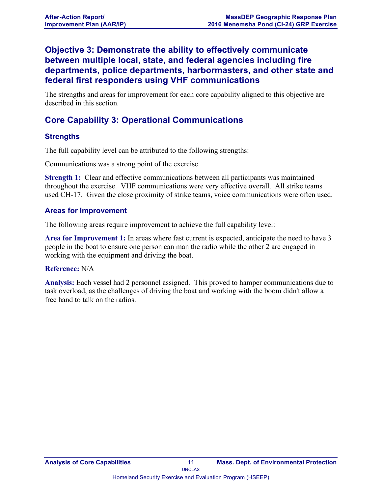## **Objective 3: Demonstrate the ability to effectively communicate between multiple local, state, and federal agencies including fire departments, police departments, harbormasters, and other state and federal first responders using VHF communications**

The strengths and areas for improvement for each core capability aligned to this objective are described in this section.

## **Core Capability 3: Operational Communications**

## **Strengths**

The full capability level can be attributed to the following strengths:

Communications was a strong point of the exercise.

**Strength 1:** Clear and effective communications between all participants was maintained throughout the exercise. VHF communications were very effective overall. All strike teams used CH-17. Given the close proximity of strike teams, voice communications were often used.

## **Areas for Improvement**

The following areas require improvement to achieve the full capability level:

**Area for Improvement 1:** In areas where fast current is expected, anticipate the need to have 3 people in the boat to ensure one person can man the radio while the other 2 are engaged in working with the equipment and driving the boat.

#### **Reference:** N/A

**Analysis:** Each vessel had 2 personnel assigned. This proved to hamper communications due to task overload, as the challenges of driving the boat and working with the boom didn't allow a free hand to talk on the radios.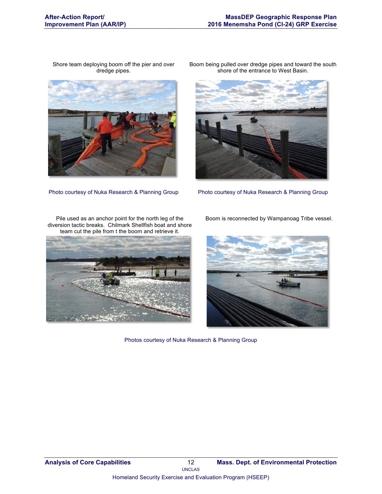Shore team deploying boom off the pier and over dredge pipes.



Boom being pulled over dredge pipes and toward the south shore of the entrance to West Basin.



Photo courtesy of Nuka Research & Planning Group Photo courtesy of Nuka Research & Planning Group

Pile used as an anchor point for the north leg of the diversion tactic breaks. Chilmark Shellfish boat and shore team cut the pile from t the boom and retrieve it.



Boom is reconnected by Wampanoag Tribe vessel.



Photos courtesy of Nuka Research & Planning Group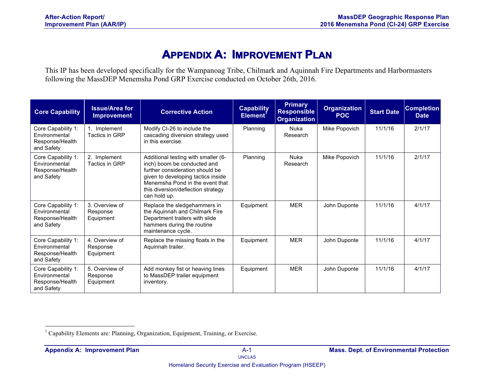# **APPENDIX A: IMPROVEMENT PLAN**

This IP has been developed specifically for the Wampanoag Tribe, Chilmark and Aquinnah Fire Departments and Harbormasters following the MassDEP Menemsha Pond GRP Exercise conducted on October 26th, 2016.

| <b>Core Capability</b>                                               | <b>Issue/Area for</b><br><b>Improvement</b> | <b>Corrective Action</b>                                                                                                                                                                                                             | <b>Capability</b><br>Element <sup>1</sup> | <b>Primary</b><br><b>Responsible</b><br><b>Organization</b> | <b>Organization</b><br><b>POC</b> | <b>Start Date</b> | <b>Completion</b><br><b>Date</b> |
|----------------------------------------------------------------------|---------------------------------------------|--------------------------------------------------------------------------------------------------------------------------------------------------------------------------------------------------------------------------------------|-------------------------------------------|-------------------------------------------------------------|-----------------------------------|-------------------|----------------------------------|
| Core Capability 1:<br>Environmental<br>Response/Health<br>and Safety | 1. Implement<br>Tactics in GRP              | Modify CI-26 to include the<br>cascading diversion strategy used<br>in this exercise.                                                                                                                                                | Planning                                  | Nuka<br>Research                                            | Mike Popovich                     | 11/1/16           | 2/1/17                           |
| Core Capability 1:<br>Environmental<br>Response/Health<br>and Safety | 2. Implement<br>Tactics in GRP              | Additional testing with smaller (6-<br>inch) boom be conducted and<br>further consideration should be<br>given to developing tactics inside<br>Menemsha Pond in the event that<br>this diversion/deflection strategy<br>can hold up. | Planning                                  | Nuka<br>Research                                            | Mike Popovich                     | 11/1/16           | 2/1/17                           |
| Core Capability 1:<br>Environmental<br>Response/Health<br>and Safety | 3. Overview of<br>Response<br>Equipment     | Replace the sledgehammers in<br>the Aquinnah and Chilmark Fire<br>Department trailers with slide<br>hammers during the routine<br>maintenance cycle.                                                                                 | Equipment                                 | <b>MER</b>                                                  | John Duponte                      | 11/1/16           | 4/1/17                           |
| Core Capability 1:<br>Environmental<br>Response/Health<br>and Safety | 4. Overview of<br>Response<br>Equipment     | Replace the missing floats in the<br>Aquinnah trailer.                                                                                                                                                                               | Equipment                                 | <b>MER</b>                                                  | John Duponte                      | 11/1/16           | 4/1/17                           |
| Core Capability 1:<br>Environmental<br>Response/Health<br>and Safety | 5. Overview of<br>Response<br>Equipment     | Add monkey fist or heaving lines<br>to MassDEP trailer equipment<br>inventory.                                                                                                                                                       | Equipment                                 | <b>MER</b>                                                  | John Duponte                      | 11/1/16           | 4/1/17                           |

<sup>&</sup>lt;sup>1</sup> Capability Elements are: Planning, Organization, Equipment, Training, or Exercise.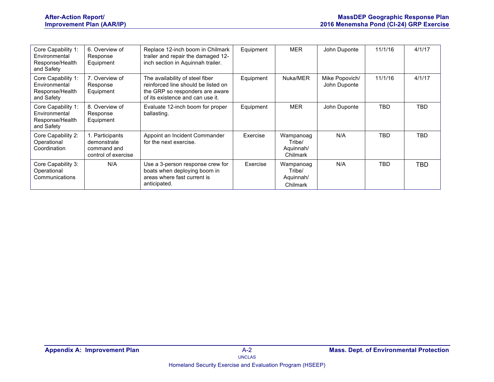| Core Capability 1:<br>Environmental<br>Response/Health<br>and Safety | 6. Overview of<br>Response<br>Equipment                              | Replace 12-inch boom in Chilmark<br>trailer and repair the damaged 12-<br>inch section in Aquinnah trailer.                                   | Equipment | <b>MER</b>                                   | John Duponte                   | 11/1/16    | 4/1/17     |
|----------------------------------------------------------------------|----------------------------------------------------------------------|-----------------------------------------------------------------------------------------------------------------------------------------------|-----------|----------------------------------------------|--------------------------------|------------|------------|
| Core Capability 1:<br>Environmental<br>Response/Health<br>and Safety | 7. Overview of<br>Response<br>Equipment                              | The availability of steel fiber<br>reinforced line should be listed on<br>the GRP so responders are aware<br>of its existence and can use it. | Equipment | Nuka/MER                                     | Mike Popovich/<br>John Duponte | 11/1/16    | 4/1/17     |
| Core Capability 1:<br>Environmental<br>Response/Health<br>and Safety | 8. Overview of<br>Response<br>Equipment                              | Evaluate 12-inch boom for proper<br>ballasting.                                                                                               | Equipment | MER                                          | John Duponte                   | TBD        | <b>TBD</b> |
| Core Capability 2:<br>Operational<br>Coordination                    | I. Participants<br>demonstrate<br>command and<br>control of exercise | Appoint an Incident Commander<br>for the next exercise.                                                                                       | Exercise  | Wampanoag<br>Tribe/<br>Aquinnah/<br>Chilmark | N/A                            | TBD        | <b>TBD</b> |
| Core Capability 3:<br>Operational<br>Communications                  | N/A                                                                  | Use a 3-person response crew for<br>boats when deploying boom in<br>areas where fast current is<br>anticipated.                               | Exercise  | Wampanoag<br>Tribe/<br>Aquinnah/<br>Chilmark | N/A                            | <b>TBD</b> | TBD.       |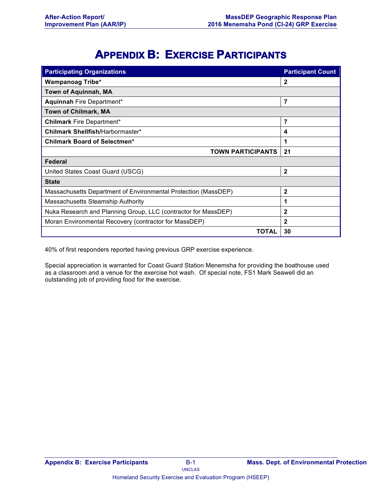# **APPENDIX B: EXERCISE PARTICIPANTS**

| <b>Participating Organizations</b>                             | <b>Participant Count</b> |
|----------------------------------------------------------------|--------------------------|
| <b>Wampanoag Tribe*</b>                                        | $\mathbf{2}$             |
| Town of Aquinnah, MA                                           |                          |
| Aquinnah Fire Department*                                      | 7                        |
| <b>Town of Chilmark, MA</b>                                    |                          |
| <b>Chilmark Fire Department*</b>                               | 7                        |
| Chilmark Shellfish/Harbormaster*                               | 4                        |
| <b>Chilmark Board of Selectmen*</b>                            | 1                        |
| <b>TOWN PARTICIPANTS</b>                                       | 21                       |
| Federal                                                        |                          |
| United States Coast Guard (USCG)                               | $\mathbf{2}$             |
| <b>State</b>                                                   |                          |
| Massachusetts Department of Environmental Protection (MassDEP) | $\overline{2}$           |
| Massachusetts Steamship Authority                              | 1                        |
| Nuka Research and Planning Group, LLC (contractor for MassDEP) | $\mathbf{2}$             |
| Moran Environmental Recovery (contractor for MassDEP)          | $\mathbf{2}$             |
| ΤΟΤΑL                                                          | 30                       |

40% of first responders reported having previous GRP exercise experience.

Special appreciation is warranted for Coast Guard Station Menemsha for providing the boathouse used as a classroom and a venue for the exercise hot wash. Of special note, FS1 Mark Seawell did an outstanding job of providing food for the exercise.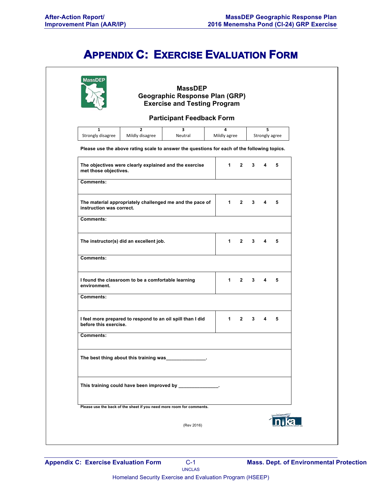# **APPENDIX C: EXERCISE EVALUATION FORM**

|                                   |                                                                      | <b>Participant Feedback Form</b>                                                            |                   |              |             |   |                |  |
|-----------------------------------|----------------------------------------------------------------------|---------------------------------------------------------------------------------------------|-------------------|--------------|-------------|---|----------------|--|
| $\mathbf{1}$<br>Strongly disagree | $\overline{2}$<br>Mildly disagree                                    | 3<br>Neutral                                                                                | 4<br>Mildly agree |              |             | 5 | Strongly agree |  |
|                                   |                                                                      | Please use the above rating scale to answer the questions for each of the following topics. |                   |              |             |   |                |  |
| met those objectives.             |                                                                      | The objectives were clearly explained and the exercise                                      | $1 \quad$         | $\mathbf{2}$ | 3           | 4 | 5              |  |
| <b>Comments:</b>                  |                                                                      |                                                                                             |                   |              |             |   |                |  |
| instruction was correct.          |                                                                      | The material appropriately challenged me and the pace of                                    | $1 \quad$         | $2^{\circ}$  | $3^{\circ}$ |   | 5              |  |
| <b>Comments:</b>                  |                                                                      |                                                                                             |                   |              |             |   |                |  |
|                                   | The instructor(s) did an excellent job.                              |                                                                                             | $1 \quad$         | $\mathbf{2}$ | $3^{\circ}$ | 4 | 5              |  |
| <b>Comments:</b>                  |                                                                      |                                                                                             |                   |              |             |   |                |  |
| environment.                      | I found the classroom to be a comfortable learning                   |                                                                                             |                   | $1 \quad 2$  | 3           | 4 | 5              |  |
| <b>Comments:</b>                  |                                                                      |                                                                                             |                   |              |             |   |                |  |
| before this exercise.             |                                                                      | I feel more prepared to respond to an oil spill than I did                                  | $1 \quad$         | $\mathbf{2}$ | 3           | 4 | 5              |  |
| Comments:                         |                                                                      |                                                                                             |                   |              |             |   |                |  |
|                                   |                                                                      | The best thing about this training was                                                      |                   |              |             |   |                |  |
|                                   |                                                                      | This training could have been improved by ______________.                                   |                   |              |             |   |                |  |
|                                   | Please use the back of the sheet if you need more room for comments. |                                                                                             |                   |              |             |   |                |  |